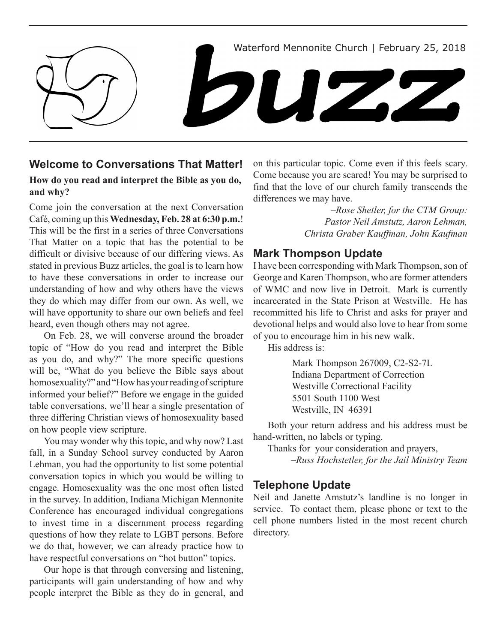

### **Welcome to Conversations That Matter!**

#### **How do you read and interpret the Bible as you do, and why?**

Come join the conversation at the next Conversation Café, coming up this **Wednesday, Feb. 28 at 6:30 p.m.**! This will be the first in a series of three Conversations That Matter on a topic that has the potential to be difficult or divisive because of our differing views. As stated in previous Buzz articles, the goal is to learn how to have these conversations in order to increase our understanding of how and why others have the views they do which may differ from our own. As well, we will have opportunity to share our own beliefs and feel heard, even though others may not agree.

On Feb. 28, we will converse around the broader topic of "How do you read and interpret the Bible as you do, and why?" The more specific questions will be, "What do you believe the Bible says about homosexuality?" and "How has your reading of scripture informed your belief?" Before we engage in the guided table conversations, we'll hear a single presentation of three differing Christian views of homosexuality based on how people view scripture.

You may wonder why this topic, and why now? Last fall, in a Sunday School survey conducted by Aaron Lehman, you had the opportunity to list some potential conversation topics in which you would be willing to engage. Homosexuality was the one most often listed in the survey. In addition, Indiana Michigan Mennonite Conference has encouraged individual congregations to invest time in a discernment process regarding questions of how they relate to LGBT persons. Before we do that, however, we can already practice how to have respectful conversations on "hot button" topics.

Our hope is that through conversing and listening, participants will gain understanding of how and why people interpret the Bible as they do in general, and on this particular topic. Come even if this feels scary. Come because you are scared! You may be surprised to find that the love of our church family transcends the differences we may have.

> *–Rose Shetler, for the CTM Group: Pastor Neil Amstutz, Aaron Lehman, Christa Graber Kauffman, John Kaufman*

# **Mark Thompson Update**

I have been corresponding with Mark Thompson, son of George and Karen Thompson, who are former attenders of WMC and now live in Detroit. Mark is currently incarcerated in the State Prison at Westville. He has recommitted his life to Christ and asks for prayer and devotional helps and would also love to hear from some of you to encourage him in his new walk.

His address is:

 Mark Thompson 267009, C2-S2-7L Indiana Department of Correction Westville Correctional Facility 5501 South 1100 West Westville, IN 46391

Both your return address and his address must be hand-written, no labels or typing.

Thanks for your consideration and prayers,

*–Russ Hochstetler, for the Jail Ministry Team*

# **Telephone Update**

Neil and Janette Amstutz's landline is no longer in service. To contact them, please phone or text to the cell phone numbers listed in the most recent church directory.